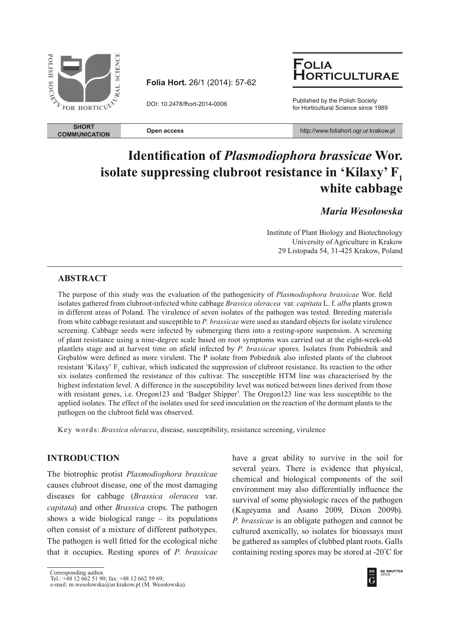

**COMMUNICATION** 

**Folia Hort.** 26/1 (2014): 57-62

DOI: 10.2478/fhort-2014-0006



Published by the Polish Society for Horticultural Science since 1989

http://www.foliahort.ogr.ur.krakow.pl **SHORT**

# **Identification of** *Plasmodiophora brassicae* **Wor.**  isolate suppressing clubroot resistance in 'Kilaxy' F<sub>1</sub> **white cabbage**

*Maria Wesołowska*

Institute of Plant Biology and Biotechnology University of Agriculture in Krakow 29 Listopada 54, 31-425 Krakow, Poland

# **ABSTRACT**

The purpose of this study was the evaluation of the pathogenicity of *Plasmodiophora brassicae* Wor. field isolates gathered from clubroot-infected white cabbage *Brassica oleracea* var. *capitata* L. f. *alba* plants grown in different areas of Poland. The virulence of seven isolates of the pathogen was tested. Breeding materials from white cabbage resistant and susceptible to *P. brassicae* were used as standard objects for isolate virulence screening. Cabbage seeds were infected by submerging them into a resting-spore suspension. A screening of plant resistance using a nine-degree scale based on root symptoms was carried out at the eight-week-old plantlets stage and at harvest time on afield infected by *P. brassicae* spores. Isolates from Pobiednik and Grębałów were defined as more virulent. The P isolate from Pobiednik also infested plants of the clubroot resistant 'Kilaxy'  $F_1$  cultivar, which indicated the suppression of clubroot resistance. Its reaction to the other six isolates confirmed the resistance of this cultivar. The susceptible HTM line was characterised by the highest infestation level. A difference in the susceptibility level was noticed between lines derived from those with resistant genes, i.e. Oregon123 and 'Badger Shipper'. The Oregon123 line was less susceptible to the applied isolates. The effect of the isolates used for seed inoculation on the reaction of the dormant plants to the pathogen on the clubroot field was observed.

Key words: *Brassica oleracea*, disease, susceptibility, resistance screening, virulence

## **INTRODUCTION**

The biotrophic protist *Plasmodiophora brassicae*  causes clubroot disease, one of the most damaging diseases for cabbage (*Brassica oleracea* var. *capitata*) and other *Brassica* crops. The pathogen shows a wide biological range – its populations often consist of a mixture of different pathotypes. The pathogen is well fitted for the ecological niche that it occupies. Resting spores of *P. brassicae*  have a great ability to survive in the soil for several years. There is evidence that physical, chemical and biological components of the soil environment may also differentially influence the survival of some physiologic races of the pathogen (Kageyama and Asano 2009, Dixon 2009b). *P. brassicae* is an obligate pathogen and cannot be cultured axenically, so isolates for bioassays must be gathered as samples of clubbed plant roots. Galls containing resting spores may be stored at -20º C for

Corresponding author.



Tel.: +48 12 662 51 90; fax: +48 12 662 59 69; e-mail: m.wesolowska@ur.krakow.pl (M. Wesołowska).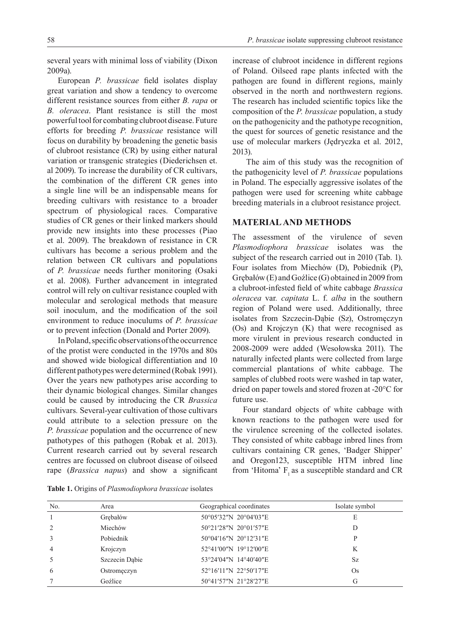several years with minimal loss of viability (Dixon 2009a).

European *P. brassicae* field isolates display great variation and show a tendency to overcome different resistance sources from either *B. rapa* or *B. oleracea*. Plant resistance is still the most powerful tool for combating clubroot disease. Future efforts for breeding *P. brassicae* resistance will focus on durability by broadening the genetic basis of clubroot resistance (CR) by using either natural variation or transgenic strategies (Diederichsen et. al 2009). To increase the durability of CR cultivars, the combination of the different CR genes into a single line will be an indispensable means for breeding cultivars with resistance to a broader spectrum of physiological races. Comparative studies of CR genes or their linked markers should provide new insights into these processes (Piao et al. 2009). The breakdown of resistance in CR cultivars has become a serious problem and the relation between CR cultivars and populations of *P. brassicae* needs further monitoring (Osaki et al. 2008). Further advancement in integrated control will rely on cultivar resistance coupled with molecular and serological methods that measure soil inoculum, and the modification of the soil environment to reduce inoculums of *P. brassicae* or to prevent infection (Donald and Porter 2009).

In Poland, specific observations of the occurrence of the protist were conducted in the 1970s and 80s and showed wide biological differentiation and 10 different pathotypes were determined (Robak 1991). Over the years new pathotypes arise according to their dynamic biological changes. Similar changes could be caused by introducing the CR *Brassica*  cultivars*.* Several-year cultivation of those cultivars could attribute to a selection pressure on the *P. brassicae* population and the occurrence of new pathotypes of this pathogen (Robak et al. 2013). Current research carried out by several research centres are focussed on clubroot disease of oilseed rape (*Brassica napus*) and show a significant increase of clubroot incidence in different regions of Poland. Oilseed rape plants infected with the pathogen are found in different regions, mainly observed in the north and northwestern regions. The research has included scientific topics like the composition of the *P. brassicae* population, a study on the pathogenicity and the pathotype recognition, the quest for sources of genetic resistance and the use of molecular markers (Jędryczka et al. 2012, 2013).

 The aim of this study was the recognition of the pathogenicity level of *P. brassicae* populations in Poland. The especially aggressive isolates of the pathogen were used for screening white cabbage breeding materials in a clubroot resistance project.

#### **MATERIAL AND METHODS**

The assessment of the virulence of seven *Plasmodiophora brassicae* isolates was the subject of the research carried out in 2010 (Tab. 1). Four isolates from Miechów (D), Pobiednik (P), Grębałów (E) and Goźlice (G) obtained in 2009 from a clubroot-infested field of white cabbage *Brassica oleracea* var*. capitata* L. f. *alba* in the southern region of Poland were used. Additionally, three isolates from Szczecin-Dąbie (Sz), Ostromęczyn (Os) and Krojczyn (K) that were recognised as more virulent in previous research conducted in 2008-2009 were added (Wesołowska 2011). The naturally infected plants were collected from large commercial plantations of white cabbage. The samples of clubbed roots were washed in tap water, dried on paper towels and stored frozen at -20°C for future use.

Four standard objects of white cabbage with known reactions to the pathogen were used for the virulence screening of the collected isolates. They consisted of white cabbage inbred lines from cultivars containing CR genes, 'Badger Shipper' and Oregon123, susceptible HTM inbred line from 'Hitoma' F, as a susceptible standard and CR

| Table 1. Origins of Plasmodiophora brassicae isolates |  |
|-------------------------------------------------------|--|
|-------------------------------------------------------|--|

| No.            | Area           | Geographical coordinates | Isolate symbol |
|----------------|----------------|--------------------------|----------------|
| $\overline{1}$ | Grębałów       | 50°05'32"N 20°04'03"E    | E              |
| 2              | Miechów        | 50°21′28″N 20°01′57″E    |                |
| 3              | Pobiednik      | 50°04'16"N 20°12'31"E    |                |
| $\overline{4}$ | Krojczyn       | 52°41'00"N 19°12'00"E    | K              |
| 5              | Szczecin Dąbie | 53°24′04″N 14°40′40″E    | Sz             |
| 6              | Ostromęczyn    | 52°16'11"N 22°50'17"E    | O <sub>S</sub> |
|                | Goźlice        | 50°41'57"N 21°28'27"E    | G              |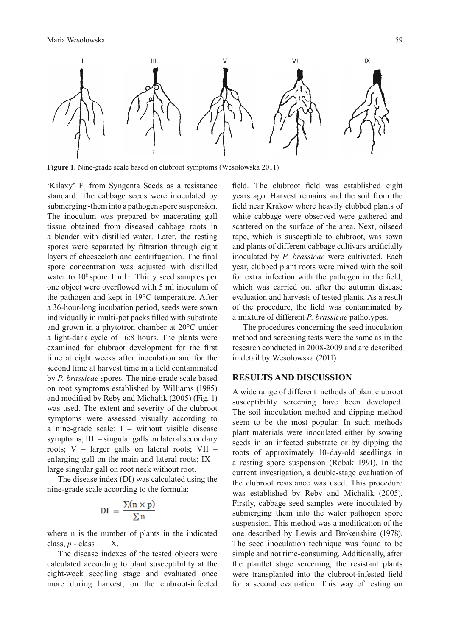

**Figure 1.** Nine-grade scale based on clubroot symptoms (Wesołowska 2011)

'Kilaxy'  $F_1$  from Syngenta Seeds as a resistance standard. The cabbage seeds were inoculated by submerging -them into a pathogen spore suspension. The inoculum was prepared by macerating gall tissue obtained from diseased cabbage roots in a blender with distilled water. Later, the resting spores were separated by filtration through eight layers of cheesecloth and centrifugation. The final spore concentration was adjusted with distilled water to  $10^8$  spore 1 ml<sup>-1</sup>. Thirty seed samples per one object were overflowed with 5 ml inoculum of the pathogen and kept in 19°C temperature. After a 36-hour-long incubation period, seeds were sown individually in multi-pot packs filled with substrate and grown in a phytotron chamber at 20°C under a light-dark cycle of 16:8 hours. The plants were examined for clubroot development for the first time at eight weeks after inoculation and for the second time at harvest time in a field contaminated by *P. brassicae* spores. The nine-grade scale based on root symptoms established by Williams (1985) and modified by Reby and Michalik (2005) (Fig. 1) was used. The extent and severity of the clubroot symptoms were assessed visually according to a nine-grade scale:  $I$  – without visible disease symptoms; III – singular galls on lateral secondary roots; V – larger galls on lateral roots; VII – enlarging gall on the main and lateral roots; IX – large singular gall on root neck without root.

The disease index (DI) was calculated using the nine-grade scale according to the formula:

$$
\mathrm{DI} = \frac{\Sigma(n \times p)}{\Sigma n}
$$

where n is the number of plants in the indicated class,  $p$  - class I – IX.

The disease indexes of the tested objects were calculated according to plant susceptibility at the eight-week seedling stage and evaluated once more during harvest, on the clubroot-infected field. The clubroot field was established eight years ago. Harvest remains and the soil from the field near Krakow where heavily clubbed plants of white cabbage were observed were gathered and scattered on the surface of the area. Next, oilseed rape, which is susceptible to clubroot, was sown and plants of different cabbage cultivars artificially inoculated by *P. brassicae* were cultivated. Each year, clubbed plant roots were mixed with the soil for extra infection with the pathogen in the field, which was carried out after the autumn disease evaluation and harvests of tested plants. As a result of the procedure, the field was contaminated by a mixture of different *P. brassicae* pathotypes.

The procedures concerning the seed inoculation method and screening tests were the same as in the research conducted in 2008-2009 and are described in detail by Wesołowska (2011).

## **RESULTS AND DISCUSSION**

A wide range of different methods of plant clubroot susceptibility screening have been developed. The soil inoculation method and dipping method seem to be the most popular. In such methods plant materials were inoculated either by sowing seeds in an infected substrate or by dipping the roots of approximately 10-day-old seedlings in a resting spore suspension (Robak 1991). In the current investigation, a double-stage evaluation of the clubroot resistance was used. This procedure was established by Reby and Michalik (2005). Firstly, cabbage seed samples were inoculated by submerging them into the water pathogen spore suspension. This method was a modification of the one described by Lewis and Brokenshire (1978). The seed inoculation technique was found to be simple and not time-consuming. Additionally, after the plantlet stage screening, the resistant plants were transplanted into the clubroot-infested field for a second evaluation. This way of testing on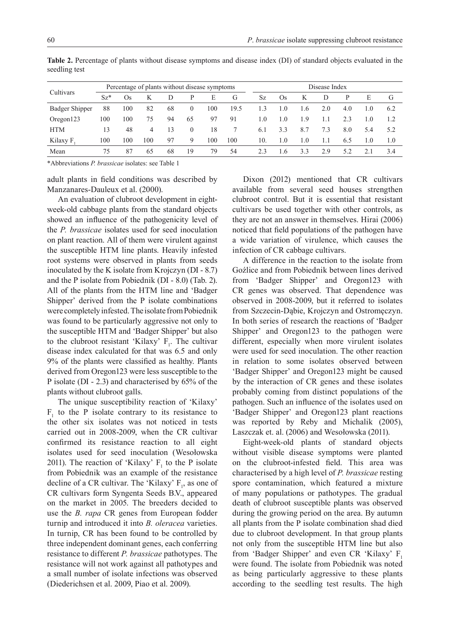| Cultivars             | Percentage of plants without disease symptoms |           |     |    |          |     |      |  | Disease Index |                |     |     |     |     |     |
|-----------------------|-----------------------------------------------|-----------|-----|----|----------|-----|------|--|---------------|----------------|-----|-----|-----|-----|-----|
|                       | $Sz*$                                         | <b>Os</b> | Κ   | D  | P        | E   | G    |  | Sz            | O <sub>S</sub> | K   | D   | P   | Е   | G   |
| Badger Shipper        | 88                                            | 100       | 82  | 68 | $\theta$ | 100 | 19.5 |  | 1.3           | 1.0            | 1.6 | 2.0 | 4.0 | 1.0 | 6.2 |
| Oregon <sub>123</sub> | 100                                           | 100       | 75  | 94 | 65       | 97  | 91   |  | 1.0           | 1.0            | 1.9 | 1.1 | 2.3 | 1.0 | 1.2 |
| <b>HTM</b>            | 13                                            | 48        | 4   | 13 | $\theta$ | 18  |      |  | 6.1           | 3.3            | 8.7 | 7.3 | 8.0 | 5.4 | 5.2 |
| Kilaxy F              | 100                                           | 100       | 100 | 97 | 9        | 100 | 100  |  | 10.           | 1.0            | 1.0 | 1.1 | 6.5 | 1.0 | 1.0 |
| Mean                  | 75                                            | 87        | 65  | 68 | 19       | 79  | 54   |  | 23            | 1.6            | 3.3 | 29  | 5.2 | 2.1 | 3.4 |

**Table 2.** Percentage of plants without disease symptoms and disease index (DI) of standard objects evaluated in the seedling test

\*Abbreviations *P. brassicae* isolates: see Table 1

adult plants in field conditions was described by Manzanares-Dauleux et al. (2000).

An evaluation of clubroot development in eightweek-old cabbage plants from the standard objects showed an influence of the pathogenicity level of the *P. brassicae* isolates used for seed inoculation on plant reaction. All of them were virulent against the susceptible HTM line plants. Heavily infested root systems were observed in plants from seeds inoculated by the K isolate from Krojczyn (DI - 8.7) and the P isolate from Pobiednik (DI - 8.0) (Tab. 2). All of the plants from the HTM line and 'Badger Shipper' derived from the P isolate combinations were completely infested. The isolate from Pobiednik was found to be particularly aggressive not only to the susceptible HTM and 'Badger Shipper' but also to the clubroot resistant 'Kilaxy'  $F_1$ . The cultivar disease index calculated for that was 6.5 and only 9% of the plants were classified as healthy. Plants derived from Oregon123 were less susceptible to the P isolate (DI - 2.3) and characterised by 65% of the plants without clubroot galls.

The unique susceptibility reaction of 'Kilaxy'  $F_1$  to the P isolate contrary to its resistance to the other six isolates was not noticed in tests carried out in 2008-2009, when the CR cultivar confirmed its resistance reaction to all eight isolates used for seed inoculation (Wesołowska 2011). The reaction of 'Kilaxy'  $F_1$  to the P isolate from Pobiednik was an example of the resistance decline of a CR cultivar. The 'Kilaxy'  $F_1$ , as one of CR cultivars form Syngenta Seeds B.V., appeared on the market in 2005. The breeders decided to use the *B. rapa* CR genes from European fodder turnip and introduced it into *B. oleracea* varieties. In turnip, CR has been found to be controlled by three independent dominant genes, each conferring resistance to different *P. brassicae* pathotypes. The resistance will not work against all pathotypes and a small number of isolate infections was observed (Diederichsen et al. 2009, Piao et al. 2009).

Dixon (2012) mentioned that CR cultivars available from several seed houses strengthen clubroot control. But it is essential that resistant cultivars be used together with other controls, as they are not an answer in themselves. Hirai (2006) noticed that field populations of the pathogen have a wide variation of virulence, which causes the infection of CR cabbage cultivars.

A difference in the reaction to the isolate from Goźlice and from Pobiednik between lines derived from 'Badger Shipper' and Oregon123 with CR genes was observed. That dependence was observed in 2008-2009, but it referred to isolates from Szczecin-Dąbie, Krojczyn and Ostromęczyn. In both series of research the reactions of 'Badger Shipper' and Oregon123 to the pathogen were different, especially when more virulent isolates were used for seed inoculation. The other reaction in relation to some isolates observed between 'Badger Shipper' and Oregon123 might be caused by the interaction of CR genes and these isolates probably coming from distinct populations of the pathogen. Such an influence of the isolates used on 'Badger Shipper' and Oregon123 plant reactions was reported by Reby and Michalik (2005), Laszczak et. al. (2006) and Wesołowska (2011).

Eight-week-old plants of standard objects without visible disease symptoms were planted on the clubroot-infested field. This area was characterised by a high level of *P. brassicae* resting spore contamination, which featured a mixture of many populations or pathotypes. The gradual death of clubroot susceptible plants was observed during the growing period on the area. By autumn all plants from the P isolate combination shad died due to clubroot development. In that group plants not only from the susceptible HTM line but also from 'Badger Shipper' and even CR 'Kilaxy' F were found. The isolate from Pobiednik was noted as being particularly aggressive to these plants according to the seedling test results. The high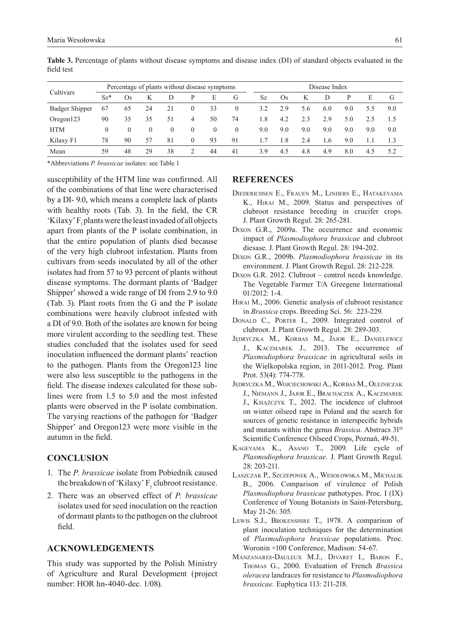| Cultivars             | Percentage of plants without disease symptoms |          |          |          |          |          |          |     | Disease Index  |     |             |     |     |     |  |
|-----------------------|-----------------------------------------------|----------|----------|----------|----------|----------|----------|-----|----------------|-----|-------------|-----|-----|-----|--|
|                       | $Sz*$                                         | Os       | K        | I)       | P        | E        | G        | Sz  | O <sub>S</sub> | Κ   |             | p   | E   | G   |  |
| Badger Shipper        | 67                                            | 65       | 24       | 21       | $\theta$ | 33       | $\theta$ | 3.2 | 2.9            | 5.6 | 6.0         | 9.0 | 5.5 | 9.0 |  |
| Oregon <sub>123</sub> | 90                                            | 35       | 35       | 51       | 4        | 50       | 74       | 1.8 | 4.2            | 2.3 | 2.9         | 5.0 | 2.5 | 1.5 |  |
| <b>HTM</b>            | $\theta$                                      | $\theta$ | $\left($ | $\theta$ | $\theta$ | $\theta$ | $\theta$ | 9.0 | 9.0            | 9.0 | 9.0         | 9.0 | 9.0 | 9.0 |  |
| Kilaxy F1             | 78                                            | 90       | 57       | 81       | $\theta$ | 93       | 91       |     | 1.8            | 2.4 | $6^{\circ}$ | 9.0 |     | 1.3 |  |
| Mean                  | 59                                            | 48       | 29       | 38       | 2        | 44       | 41       | 3.9 | 4.5            | 4.8 | 4.9         | 8.0 | 4.5 | 5.2 |  |

**Table 3.** Percentage of plants without disease symptoms and disease index (DI) of standard objects evaluated in the field test

\*Abbreviations *P. brassicae* isolates: see Table 1

susceptibility of the HTM line was confirmed. All of the combinations of that line were characterised by a DI- 9.0, which means a complete lack of plants with healthy roots (Tab. 3). In the field, the CR 'Kilaxy' F<sub>, plants</sub> were the least invaded of all objects apart from plants of the P isolate combination, in that the entire population of plants died because of the very high clubroot infestation. Plants from cultivars from seeds inoculated by all of the other isolates had from 57 to 93 percent of plants without disease symptoms. The dormant plants of 'Badger Shipper' showed a wide range of DI from 2.9 to 9.0 (Tab. 3). Plant roots from the G and the P isolate combinations were heavily clubroot infested with a DI of 9.0. Both of the isolates are known for being more virulent according to the seedling test. These studies concluded that the isolates used for seed inoculation influenced the dormant plants' reaction to the pathogen. Plants from the Oregon123 line were also less susceptible to the pathogens in the field. The disease indexes calculated for those sublines were from 1.5 to 5.0 and the most infested plants were observed in the P isolate combination. The varying reactions of the pathogen for 'Badger Shipper' and Oregon123 were more visible in the autumn in the field.

## **CONCLUSION**

- 1. The *P. brassicae* isolate from Pobiednik caused the breakdown of 'Kilaxy'  $F_1$  clubroot resistance.
- 2. There was an observed effect of *P. brassicae* isolates used for seed inoculation on the reaction of dormant plants to the pathogen on the clubroot field.

#### **ACKNOWLEDGEMENTS**

This study was supported by the Polish Ministry of Agriculture and Rural Development (project number: HOR hn-4040-dec. 1/08).

#### **REFERENCES**

- Diederichsen E., Frauen M., Linders E., Hatakeyama K., Hirai M., 2009. Status and perspectives of clubroot resistance breeding in crucifer crops. J. Plant Growth Regul. 28: 265-281.
- Dixon G.R., 2009a. The occurrence and economic impact of *Plasmodiophora brassicae* and clubroot diesase. J. Plant Growth Regul. 28: 194-202.
- Dixon G.R., 2009b. *Plasmodiophora brassicae* in its environment. J. Plant Growth Regul. 28: 212-228.
- Dixon G.R. 2012. Clubroot control needs knowledge. The Vegetable Farmer T/A Greegene International 01/2012: 1-4.
- Hirai M., 2006. Genetic analysis of clubroot resistance in *Brassica* crops. Breeding Sci. 56: 223-229.
- DONALD C., PORTER I., 2009. Integrated control of clubroot. J. Plant Growth Regul. 28: 289-303.
- Jędryczka M., Korbas M., Jajor E., Danielewicz J., Kaczmarek J., 2013. The occurrence of *Plasmodiophora brassicae* in agricultural soils in the Wielkopolska region, in 2011-2012. Prog. Plant Prot. 53(4): 774-778.
- Jędryczka M., Wojciechowski A., Korbas M., Olejniczak J., Niemann J., Jajor E., Brachaczek A., Kaczmarek J., Książczyk T., 2012. The incidence of clubroot on winter oilseed rape in Poland and the search for sources of genetic resistance in interspecific hybrids and mutants within the genus *Brassica*. Abstracs 31<sup>th</sup> Scientific Conference Oilseed Crops, Poznań, 49-51.
- Kageyama K., Asano T., 2009. Life cycle of *Plasmodiophora brassicae.* J. Plant Growth Regul. 28: 203-211.
- Laszczak P., Szczeponek A., Wesołowska M., Michalik B., 2006. Comparison of virulence of Polish *Plasmodiophora brassicae* pathotypes. Proc. I (IX) Conference of Young Botanists in Saint-Petersburg, May 21-26: 305.
- Lewis S.J., Brokenshire T., 1978. A comparison of plant inoculation techniques for the determination of *Plasmodiophora brassicae* populations. Proc. Woronin +100 Conference, Madison: 54-67.
- Manzanares-Dauleux M.J., Divaret I., Baron F., Thomas G., 2000. Evaluation of French *Brassica oleracea* landraces for resistance to *Plasmodiophora brassicae.* Euphytica 113: 211-218.